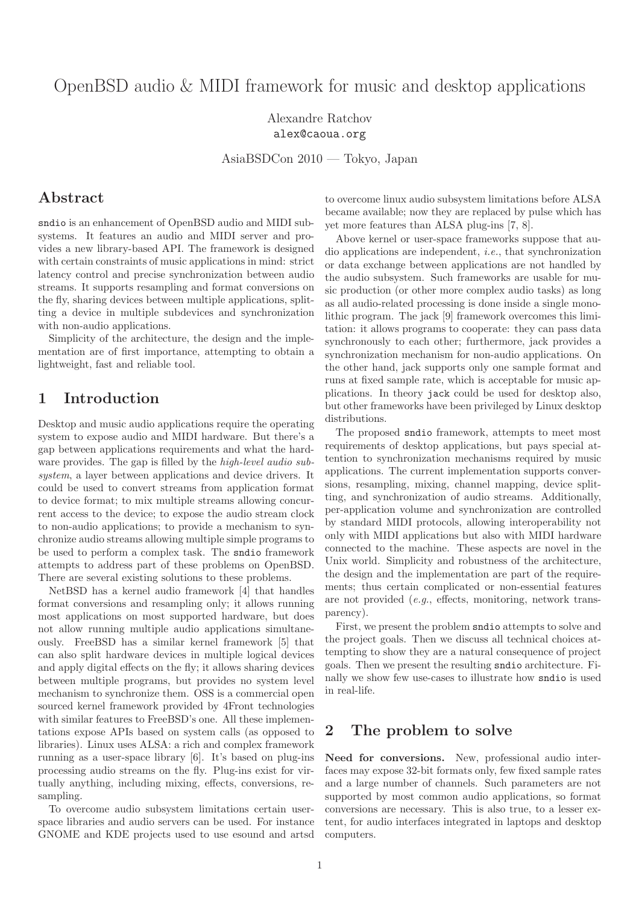# OpenBSD audio & MIDI framework for music and desktop applications

Alexandre Ratchov alex@caoua.org

AsiaBSDCon 2010 — Tokyo, Japan

# Abstract

sndio is an enhancement of OpenBSD audio and MIDI subsystems. It features an audio and MIDI server and provides a new library-based API. The framework is designed with certain constraints of music applications in mind: strict latency control and precise synchronization between audio streams. It supports resampling and format conversions on the fly, sharing devices between multiple applications, splitting a device in multiple subdevices and synchronization with non-audio applications.

Simplicity of the architecture, the design and the implementation are of first importance, attempting to obtain a lightweight, fast and reliable tool.

# 1 Introduction

Desktop and music audio applications require the operating system to expose audio and MIDI hardware. But there's a gap between applications requirements and what the hardware provides. The gap is filled by the high-level audio subsystem, a layer between applications and device drivers. It could be used to convert streams from application format to device format; to mix multiple streams allowing concurrent access to the device; to expose the audio stream clock to non-audio applications; to provide a mechanism to synchronize audio streams allowing multiple simple programs to be used to perform a complex task. The sndio framework attempts to address part of these problems on OpenBSD. There are several existing solutions to these problems.

NetBSD has a kernel audio framework [4] that handles format conversions and resampling only; it allows running most applications on most supported hardware, but does not allow running multiple audio applications simultaneously. FreeBSD has a similar kernel framework [5] that can also split hardware devices in multiple logical devices and apply digital effects on the fly; it allows sharing devices between multiple programs, but provides no system level mechanism to synchronize them. OSS is a commercial open sourced kernel framework provided by 4Front technologies with similar features to FreeBSD's one. All these implementations expose APIs based on system calls (as opposed to libraries). Linux uses ALSA: a rich and complex framework running as a user-space library [6]. It's based on plug-ins processing audio streams on the fly. Plug-ins exist for virtually anything, including mixing, effects, conversions, resampling.

To overcome audio subsystem limitations certain userspace libraries and audio servers can be used. For instance GNOME and KDE projects used to use esound and artsd to overcome linux audio subsystem limitations before ALSA became available; now they are replaced by pulse which has yet more features than ALSA plug-ins [7, 8].

Above kernel or user-space frameworks suppose that audio applications are independent, i.e., that synchronization or data exchange between applications are not handled by the audio subsystem. Such frameworks are usable for music production (or other more complex audio tasks) as long as all audio-related processing is done inside a single monolithic program. The jack [9] framework overcomes this limitation: it allows programs to cooperate: they can pass data synchronously to each other; furthermore, jack provides a synchronization mechanism for non-audio applications. On the other hand, jack supports only one sample format and runs at fixed sample rate, which is acceptable for music applications. In theory jack could be used for desktop also, but other frameworks have been privileged by Linux desktop distributions.

The proposed sndio framework, attempts to meet most requirements of desktop applications, but pays special attention to synchronization mechanisms required by music applications. The current implementation supports conversions, resampling, mixing, channel mapping, device splitting, and synchronization of audio streams. Additionally, per-application volume and synchronization are controlled by standard MIDI protocols, allowing interoperability not only with MIDI applications but also with MIDI hardware connected to the machine. These aspects are novel in the Unix world. Simplicity and robustness of the architecture, the design and the implementation are part of the requirements; thus certain complicated or non-essential features are not provided (e.g., effects, monitoring, network transparency).

First, we present the problem sndio attempts to solve and the project goals. Then we discuss all technical choices attempting to show they are a natural consequence of project goals. Then we present the resulting sndio architecture. Finally we show few use-cases to illustrate how sndio is used in real-life.

# 2 The problem to solve

Need for conversions. New, professional audio interfaces may expose 32-bit formats only, few fixed sample rates and a large number of channels. Such parameters are not supported by most common audio applications, so format conversions are necessary. This is also true, to a lesser extent, for audio interfaces integrated in laptops and desktop computers.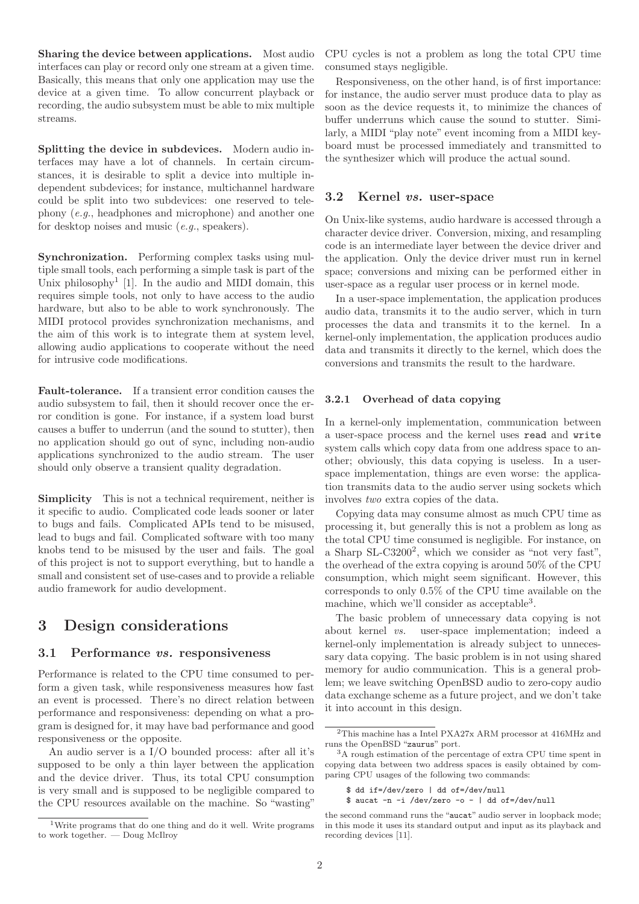Sharing the device between applications. Most audio interfaces can play or record only one stream at a given time. Basically, this means that only one application may use the device at a given time. To allow concurrent playback or recording, the audio subsystem must be able to mix multiple streams.

Splitting the device in subdevices. Modern audio interfaces may have a lot of channels. In certain circumstances, it is desirable to split a device into multiple independent subdevices; for instance, multichannel hardware could be split into two subdevices: one reserved to telephony (e.g., headphones and microphone) and another one for desktop noises and music (e.g., speakers).

Synchronization. Performing complex tasks using multiple small tools, each performing a simple task is part of the Unix philosophy<sup>1</sup> [1]. In the audio and MIDI domain, this requires simple tools, not only to have access to the audio hardware, but also to be able to work synchronously. The MIDI protocol provides synchronization mechanisms, and the aim of this work is to integrate them at system level, allowing audio applications to cooperate without the need for intrusive code modifications.

Fault-tolerance. If a transient error condition causes the audio subsystem to fail, then it should recover once the error condition is gone. For instance, if a system load burst causes a buffer to underrun (and the sound to stutter), then no application should go out of sync, including non-audio applications synchronized to the audio stream. The user should only observe a transient quality degradation.

Simplicity This is not a technical requirement, neither is it specific to audio. Complicated code leads sooner or later to bugs and fails. Complicated APIs tend to be misused, lead to bugs and fail. Complicated software with too many knobs tend to be misused by the user and fails. The goal of this project is not to support everything, but to handle a small and consistent set of use-cases and to provide a reliable audio framework for audio development.

# 3 Design considerations

## 3.1 Performance vs. responsiveness

Performance is related to the CPU time consumed to perform a given task, while responsiveness measures how fast an event is processed. There's no direct relation between performance and responsiveness: depending on what a program is designed for, it may have bad performance and good responsiveness or the opposite.

An audio server is a I/O bounded process: after all it's supposed to be only a thin layer between the application and the device driver. Thus, its total CPU consumption is very small and is supposed to be negligible compared to the CPU resources available on the machine. So "wasting" CPU cycles is not a problem as long the total CPU time consumed stays negligible.

Responsiveness, on the other hand, is of first importance: for instance, the audio server must produce data to play as soon as the device requests it, to minimize the chances of buffer underruns which cause the sound to stutter. Similarly, a MIDI "play note" event incoming from a MIDI keyboard must be processed immediately and transmitted to the synthesizer which will produce the actual sound.

# 3.2 Kernel vs. user-space

On Unix-like systems, audio hardware is accessed through a character device driver. Conversion, mixing, and resampling code is an intermediate layer between the device driver and the application. Only the device driver must run in kernel space; conversions and mixing can be performed either in user-space as a regular user process or in kernel mode.

In a user-space implementation, the application produces audio data, transmits it to the audio server, which in turn processes the data and transmits it to the kernel. In a kernel-only implementation, the application produces audio data and transmits it directly to the kernel, which does the conversions and transmits the result to the hardware.

# 3.2.1 Overhead of data copying

In a kernel-only implementation, communication between a user-space process and the kernel uses read and write system calls which copy data from one address space to another; obviously, this data copying is useless. In a userspace implementation, things are even worse: the application transmits data to the audio server using sockets which involves two extra copies of the data.

Copying data may consume almost as much CPU time as processing it, but generally this is not a problem as long as the total CPU time consumed is negligible. For instance, on a Sharp SL-C3200<sup>2</sup>, which we consider as "not very fast", the overhead of the extra copying is around 50% of the CPU consumption, which might seem significant. However, this corresponds to only 0.5% of the CPU time available on the machine, which we'll consider as acceptable<sup>3</sup>.

The basic problem of unnecessary data copying is not about kernel vs. user-space implementation; indeed a kernel-only implementation is already subject to unnecessary data copying. The basic problem is in not using shared memory for audio communication. This is a general problem; we leave switching OpenBSD audio to zero-copy audio data exchange scheme as a future project, and we don't take it into account in this design.

<sup>1</sup>Write programs that do one thing and do it well. Write programs to work together. — Doug McIlroy

 $^2 \mathrm{This}$  machine has a Intel PXA27x ARM processor at 416MHz and runs the OpenBSD "zaurus" port.

<sup>3</sup>A rough estimation of the percentage of extra CPU time spent in copying data between two address spaces is easily obtained by comparing CPU usages of the following two commands:

<sup>\$</sup> dd if=/dev/zero | dd of=/dev/null

 $$$  aucat -n -i /dev/zero -o - | dd of=/dev/null

the second command runs the "aucat" audio server in loopback mode; in this mode it uses its standard output and input as its playback and recording devices [11].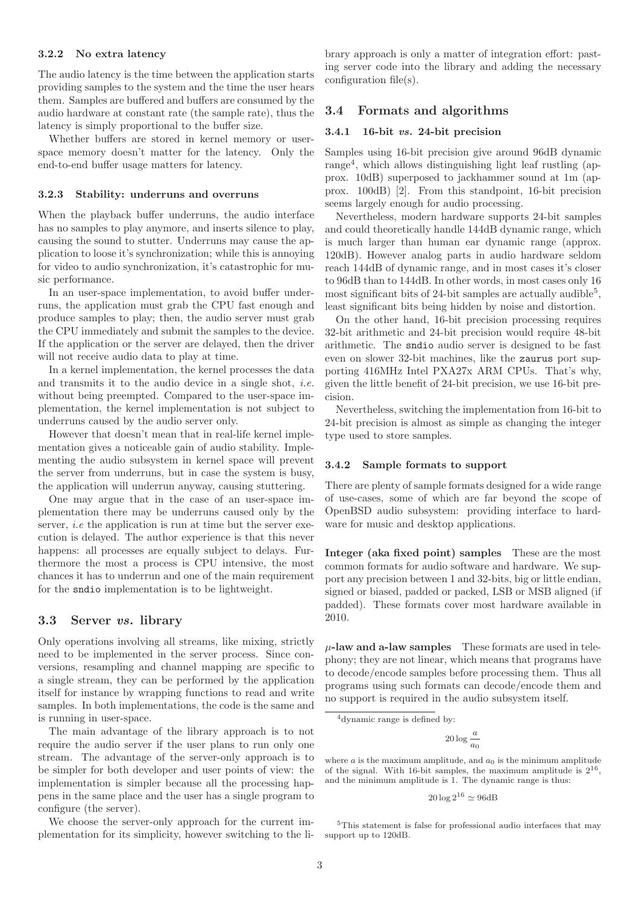### 3.2.2 No extra latency

The audio latency is the time between the application starts providing samples to the system and the time the user hears them. Samples are buffered and buffers are consumed by the audio hardware at constant rate (the sample rate), thus the latency is simply proportional to the buffer size.

Whether buffers are stored in kernel memory or userspace memory doesn't matter for the latency. Only the end-to-end buffer usage matters for latency.

#### 3.2.3 Stability: underruns and overruns

When the playback buffer underruns, the audio interface has no samples to play anymore, and inserts silence to play, causing the sound to stutter. Underruns may cause the application to loose it's synchronization; while this is annoying for video to audio synchronization, it's catastrophic for music performance.

In an user-space implementation, to avoid buffer underruns, the application must grab the CPU fast enough and produce samples to play; then, the audio server must grab the CPU immediately and submit the samples to the device. If the application or the server are delayed, then the driver will not receive audio data to play at time.

In a kernel implementation, the kernel processes the data and transmits it to the audio device in a single shot, i.e. without being preempted. Compared to the user-space implementation, the kernel implementation is not subject to underruns caused by the audio server only.

However that doesn't mean that in real-life kernel implementation gives a noticeable gain of audio stability. Implementing the audio subsystem in kernel space will prevent the server from underruns, but in case the system is busy, the application will underrun anyway, causing stuttering.

One may argue that in the case of an user-space implementation there may be underruns caused only by the server, *i.e* the application is run at time but the server execution is delayed. The author experience is that this never happens: all processes are equally subject to delays. Furthermore the most a process is CPU intensive, the most chances it has to underrun and one of the main requirement for the sndio implementation is to be lightweight.

### 3.3 Server vs. library

Only operations involving all streams, like mixing, strictly need to be implemented in the server process. Since conversions, resampling and channel mapping are specific to a single stream, they can be performed by the application itself for instance by wrapping functions to read and write samples. In both implementations, the code is the same and is running in user-space.

The main advantage of the library approach is to not require the audio server if the user plans to run only one stream. The advantage of the server-only approach is to be simpler for both developer and user points of view: the implementation is simpler because all the processing happens in the same place and the user has a single program to configure (the server).

We choose the server-only approach for the current implementation for its simplicity, however switching to the library approach is only a matter of integration effort: pasting server code into the library and adding the necessary configuration file(s).

# 3.4 Formats and algorithms

## 3.4.1 16-bit vs. 24-bit precision

Samples using 16-bit precision give around 96dB dynamic range<sup>4</sup>, which allows distinguishing light leaf rustling (approx. 10dB) superposed to jackhammer sound at 1m (approx. 100dB) [2]. From this standpoint, 16-bit precision seems largely enough for audio processing.

Nevertheless, modern hardware supports 24-bit samples and could theoretically handle 144dB dynamic range, which is much larger than human ear dynamic range (approx. 120dB). However analog parts in audio hardware seldom reach 144dB of dynamic range, and in most cases it's closer to 96dB than to 144dB. In other words, in most cases only 16 most significant bits of 24-bit samples are actually audible<sup>5</sup>, least significant bits being hidden by noise and distortion.

On the other hand, 16-bit precision processing requires 32-bit arithmetic and 24-bit precision would require 48-bit arithmetic. The sndio audio server is designed to be fast even on slower 32-bit machines, like the zaurus port supporting 416MHz Intel PXA27x ARM CPUs. That's why, given the little benefit of 24-bit precision, we use 16-bit precision.

Nevertheless, switching the implementation from 16-bit to 24-bit precision is almost as simple as changing the integer type used to store samples.

### 3.4.2 Sample formats to support

There are plenty of sample formats designed for a wide range of use-cases, some of which are far beyond the scope of OpenBSD audio subsystem: providing interface to hardware for music and desktop applications.

Integer (aka fixed point) samples These are the most common formats for audio software and hardware. We support any precision between 1 and 32-bits, big or little endian, signed or biased, padded or packed, LSB or MSB aligned (if padded). These formats cover most hardware available in 2010.

 $\mu$ -law and a-law samples These formats are used in telephony; they are not linear, which means that programs have to decode/encode samples before processing them. Thus all programs using such formats can decode/encode them and no support is required in the audio subsystem itself.

 $20 \log \frac{a}{a}$  $\frac{a_0}{a_0}$ 

 $20 \log 2^{16} \simeq 96$ dB

 ${}^{5}\mathrm{This}$  statement is false for professional audio interfaces that may support up to 120dB.

<sup>4</sup>dynamic range is defined by:

where  $a$  is the maximum amplitude, and  $a_0$  is the minimum amplitude of the signal. With 16-bit samples, the maximum amplitude is  $2^{16}$ , and the minimum amplitude is 1. The dynamic range is thus: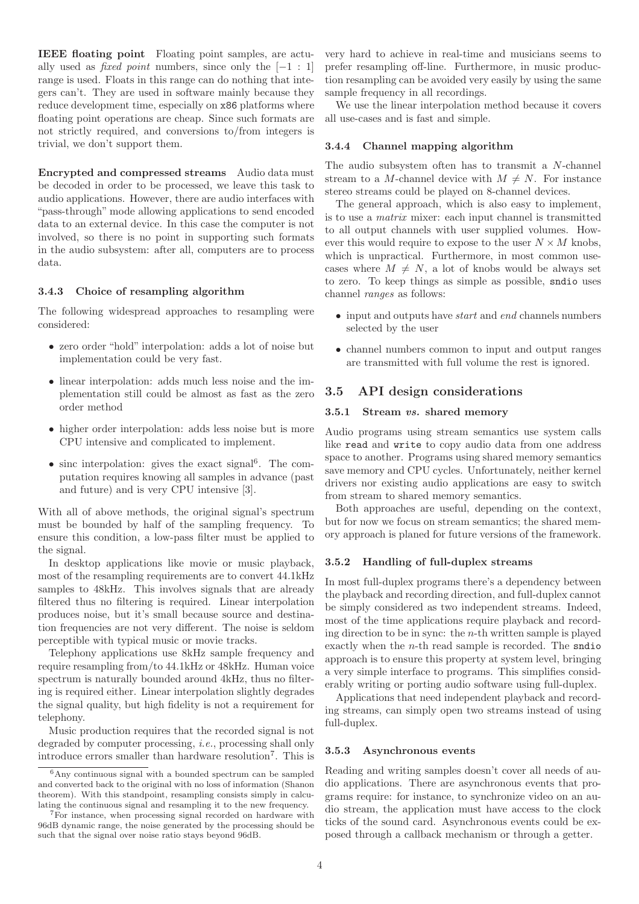IEEE floating point Floating point samples, are actually used as *fixed point* numbers, since only the  $[-1:1]$ range is used. Floats in this range can do nothing that integers can't. They are used in software mainly because they reduce development time, especially on x86 platforms where floating point operations are cheap. Since such formats are not strictly required, and conversions to/from integers is trivial, we don't support them.

Encrypted and compressed streams Audio data must be decoded in order to be processed, we leave this task to audio applications. However, there are audio interfaces with "pass-through" mode allowing applications to send encoded data to an external device. In this case the computer is not involved, so there is no point in supporting such formats in the audio subsystem: after all, computers are to process data.

## 3.4.3 Choice of resampling algorithm

The following widespread approaches to resampling were considered:

- zero order "hold" interpolation: adds a lot of noise but implementation could be very fast.
- linear interpolation: adds much less noise and the implementation still could be almost as fast as the zero order method
- higher order interpolation: adds less noise but is more CPU intensive and complicated to implement.
- $\bullet$  sinc interpolation: gives the exact signal<sup>6</sup>. The computation requires knowing all samples in advance (past and future) and is very CPU intensive [3].

With all of above methods, the original signal's spectrum must be bounded by half of the sampling frequency. To ensure this condition, a low-pass filter must be applied to the signal.

In desktop applications like movie or music playback, most of the resampling requirements are to convert 44.1kHz samples to 48kHz. This involves signals that are already filtered thus no filtering is required. Linear interpolation produces noise, but it's small because source and destination frequencies are not very different. The noise is seldom perceptible with typical music or movie tracks.

Telephony applications use 8kHz sample frequency and require resampling from/to 44.1kHz or 48kHz. Human voice spectrum is naturally bounded around 4kHz, thus no filtering is required either. Linear interpolation slightly degrades the signal quality, but high fidelity is not a requirement for telephony.

Music production requires that the recorded signal is not degraded by computer processing, i.e., processing shall only introduce errors smaller than hardware resolution<sup>7</sup> . This is

very hard to achieve in real-time and musicians seems to prefer resampling off-line. Furthermore, in music production resampling can be avoided very easily by using the same sample frequency in all recordings.

We use the linear interpolation method because it covers all use-cases and is fast and simple.

### 3.4.4 Channel mapping algorithm

The audio subsystem often has to transmit a N-channel stream to a M-channel device with  $M \neq N$ . For instance stereo streams could be played on 8-channel devices.

The general approach, which is also easy to implement, is to use a matrix mixer: each input channel is transmitted to all output channels with user supplied volumes. However this would require to expose to the user  $N \times M$  knobs, which is unpractical. Furthermore, in most common usecases where  $M \neq N$ , a lot of knobs would be always set to zero. To keep things as simple as possible, sndio uses channel ranges as follows:

- input and outputs have *start* and *end* channels numbers selected by the user
- channel numbers common to input and output ranges are transmitted with full volume the rest is ignored.

# 3.5 API design considerations

#### 3.5.1 Stream vs. shared memory

Audio programs using stream semantics use system calls like read and write to copy audio data from one address space to another. Programs using shared memory semantics save memory and CPU cycles. Unfortunately, neither kernel drivers nor existing audio applications are easy to switch from stream to shared memory semantics.

Both approaches are useful, depending on the context, but for now we focus on stream semantics; the shared memory approach is planed for future versions of the framework.

## 3.5.2 Handling of full-duplex streams

In most full-duplex programs there's a dependency between the playback and recording direction, and full-duplex cannot be simply considered as two independent streams. Indeed, most of the time applications require playback and recording direction to be in sync: the  $n$ -th written sample is played exactly when the n-th read sample is recorded. The sndio approach is to ensure this property at system level, bringing a very simple interface to programs. This simplifies considerably writing or porting audio software using full-duplex.

Applications that need independent playback and recording streams, can simply open two streams instead of using full-duplex.

### 3.5.3 Asynchronous events

Reading and writing samples doesn't cover all needs of audio applications. There are asynchronous events that programs require: for instance, to synchronize video on an audio stream, the application must have access to the clock ticks of the sound card. Asynchronous events could be exposed through a callback mechanism or through a getter.

 $6$ Any continuous signal with a bounded spectrum can be sampled and converted back to the original with no loss of information (Shanon theorem). With this standpoint, resampling consists simply in calculating the continuous signal and resampling it to the new frequency.

<sup>7</sup>For instance, when processing signal recorded on hardware with 96dB dynamic range, the noise generated by the processing should be such that the signal over noise ratio stays beyond 96dB.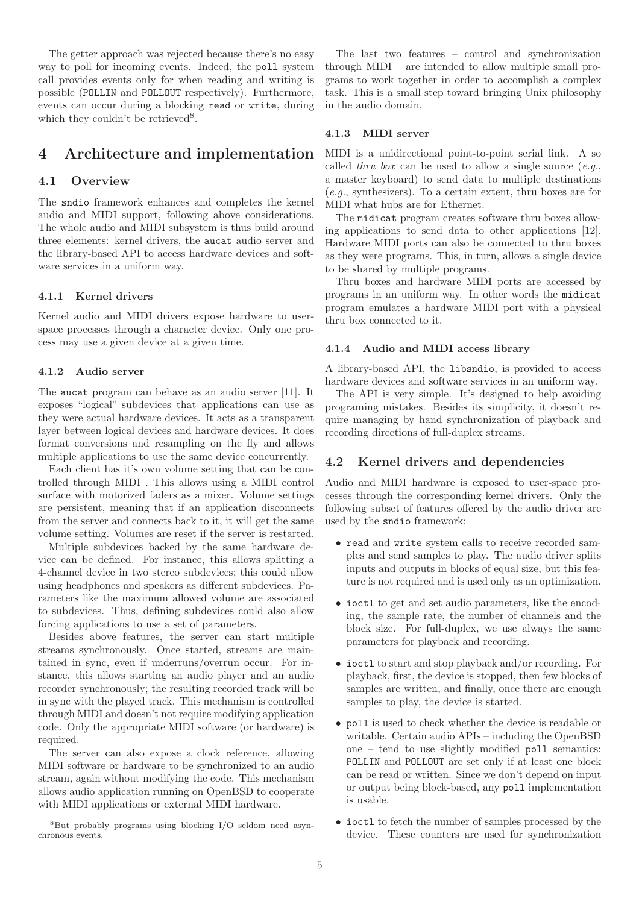The getter approach was rejected because there's no easy way to poll for incoming events. Indeed, the poll system call provides events only for when reading and writing is possible (POLLIN and POLLOUT respectively). Furthermore, events can occur during a blocking read or write, during which they couldn't be retrieved<sup>8</sup>.

# 4 Architecture and implementation

# 4.1 Overview

The sndio framework enhances and completes the kernel audio and MIDI support, following above considerations. The whole audio and MIDI subsystem is thus build around three elements: kernel drivers, the aucat audio server and the library-based API to access hardware devices and software services in a uniform way.

#### 4.1.1 Kernel drivers

Kernel audio and MIDI drivers expose hardware to userspace processes through a character device. Only one process may use a given device at a given time.

# 4.1.2 Audio server

The aucat program can behave as an audio server [11]. It exposes "logical" subdevices that applications can use as they were actual hardware devices. It acts as a transparent layer between logical devices and hardware devices. It does format conversions and resampling on the fly and allows multiple applications to use the same device concurrently.

Each client has it's own volume setting that can be controlled through MIDI . This allows using a MIDI control surface with motorized faders as a mixer. Volume settings are persistent, meaning that if an application disconnects from the server and connects back to it, it will get the same volume setting. Volumes are reset if the server is restarted.

Multiple subdevices backed by the same hardware device can be defined. For instance, this allows splitting a 4-channel device in two stereo subdevices; this could allow using headphones and speakers as different subdevices. Parameters like the maximum allowed volume are associated to subdevices. Thus, defining subdevices could also allow forcing applications to use a set of parameters.

Besides above features, the server can start multiple streams synchronously. Once started, streams are maintained in sync, even if underruns/overrun occur. For instance, this allows starting an audio player and an audio recorder synchronously; the resulting recorded track will be in sync with the played track. This mechanism is controlled through MIDI and doesn't not require modifying application code. Only the appropriate MIDI software (or hardware) is required.

The server can also expose a clock reference, allowing MIDI software or hardware to be synchronized to an audio stream, again without modifying the code. This mechanism allows audio application running on OpenBSD to cooperate with MIDI applications or external MIDI hardware.

The last two features – control and synchronization through MIDI – are intended to allow multiple small programs to work together in order to accomplish a complex task. This is a small step toward bringing Unix philosophy in the audio domain.

### 4.1.3 MIDI server

MIDI is a unidirectional point-to-point serial link. A so called thru box can be used to allow a single source  $(e.g.,)$ a master keyboard) to send data to multiple destinations (e.g., synthesizers). To a certain extent, thru boxes are for MIDI what hubs are for Ethernet.

The midicat program creates software thru boxes allowing applications to send data to other applications [12]. Hardware MIDI ports can also be connected to thru boxes as they were programs. This, in turn, allows a single device to be shared by multiple programs.

Thru boxes and hardware MIDI ports are accessed by programs in an uniform way. In other words the midicat program emulates a hardware MIDI port with a physical thru box connected to it.

### 4.1.4 Audio and MIDI access library

A library-based API, the libsndio, is provided to access hardware devices and software services in an uniform way.

The API is very simple. It's designed to help avoiding programing mistakes. Besides its simplicity, it doesn't require managing by hand synchronization of playback and recording directions of full-duplex streams.

## 4.2 Kernel drivers and dependencies

Audio and MIDI hardware is exposed to user-space processes through the corresponding kernel drivers. Only the following subset of features offered by the audio driver are used by the sndio framework:

- read and write system calls to receive recorded samples and send samples to play. The audio driver splits inputs and outputs in blocks of equal size, but this feature is not required and is used only as an optimization.
- ioctl to get and set audio parameters, like the encoding, the sample rate, the number of channels and the block size. For full-duplex, we use always the same parameters for playback and recording.
- ioctl to start and stop playback and/or recording. For playback, first, the device is stopped, then few blocks of samples are written, and finally, once there are enough samples to play, the device is started.
- poll is used to check whether the device is readable or writable. Certain audio APIs – including the OpenBSD one – tend to use slightly modified poll semantics: POLLIN and POLLOUT are set only if at least one block can be read or written. Since we don't depend on input or output being block-based, any poll implementation is usable.
- ioctl to fetch the number of samples processed by the device. These counters are used for synchronization

<sup>8</sup>But probably programs using blocking I/O seldom need asynchronous events.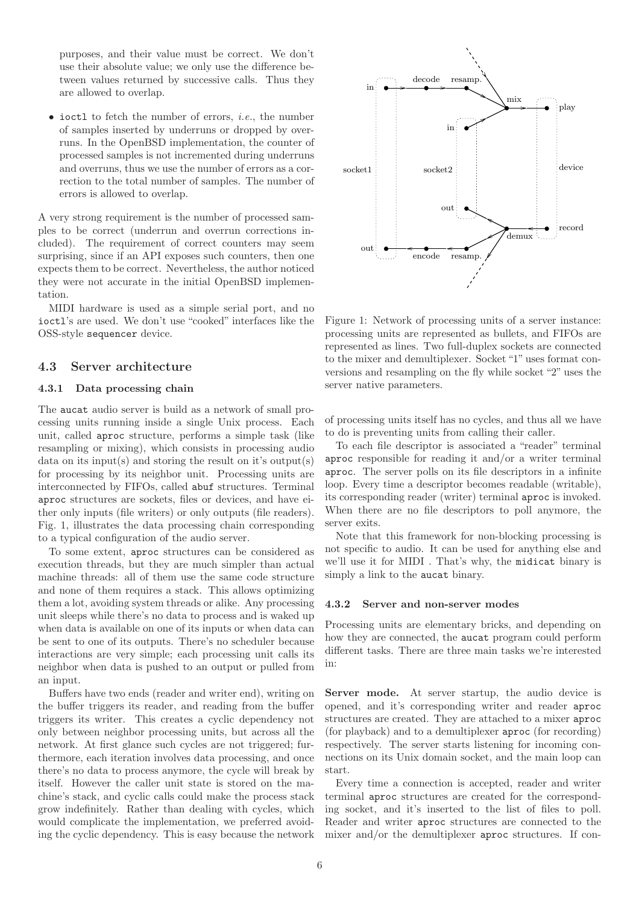purposes, and their value must be correct. We don't use their absolute value; we only use the difference between values returned by successive calls. Thus they are allowed to overlap.

 $\bullet$  ioctl to fetch the number of errors, *i.e.*, the number of samples inserted by underruns or dropped by overruns. In the OpenBSD implementation, the counter of processed samples is not incremented during underruns and overruns, thus we use the number of errors as a correction to the total number of samples. The number of errors is allowed to overlap.

A very strong requirement is the number of processed samples to be correct (underrun and overrun corrections included). The requirement of correct counters may seem surprising, since if an API exposes such counters, then one expects them to be correct. Nevertheless, the author noticed they were not accurate in the initial OpenBSD implementation.

MIDI hardware is used as a simple serial port, and no ioctl's are used. We don't use "cooked" interfaces like the OSS-style sequencer device.

## 4.3 Server architecture

#### 4.3.1 Data processing chain

The aucat audio server is build as a network of small processing units running inside a single Unix process. Each unit, called aproc structure, performs a simple task (like resampling or mixing), which consists in processing audio data on its input(s) and storing the result on it's output(s) for processing by its neighbor unit. Processing units are interconnected by FIFOs, called abuf structures. Terminal aproc structures are sockets, files or devices, and have either only inputs (file writers) or only outputs (file readers). Fig. 1, illustrates the data processing chain corresponding to a typical configuration of the audio server.

To some extent, aproc structures can be considered as execution threads, but they are much simpler than actual machine threads: all of them use the same code structure and none of them requires a stack. This allows optimizing them a lot, avoiding system threads or alike. Any processing unit sleeps while there's no data to process and is waked up when data is available on one of its inputs or when data can be sent to one of its outputs. There's no scheduler because interactions are very simple; each processing unit calls its neighbor when data is pushed to an output or pulled from an input.

Buffers have two ends (reader and writer end), writing on the buffer triggers its reader, and reading from the buffer triggers its writer. This creates a cyclic dependency not only between neighbor processing units, but across all the network. At first glance such cycles are not triggered; furthermore, each iteration involves data processing, and once there's no data to process anymore, the cycle will break by itself. However the caller unit state is stored on the machine's stack, and cyclic calls could make the process stack grow indefinitely. Rather than dealing with cycles, which would complicate the implementation, we preferred avoiding the cyclic dependency. This is easy because the network



Figure 1: Network of processing units of a server instance: processing units are represented as bullets, and FIFOs are represented as lines. Two full-duplex sockets are connected to the mixer and demultiplexer. Socket "1" uses format conversions and resampling on the fly while socket "2" uses the server native parameters.

of processing units itself has no cycles, and thus all we have to do is preventing units from calling their caller.

To each file descriptor is associated a "reader" terminal aproc responsible for reading it and/or a writer terminal aproc. The server polls on its file descriptors in a infinite loop. Every time a descriptor becomes readable (writable), its corresponding reader (writer) terminal aproc is invoked. When there are no file descriptors to poll anymore, the server exits.

Note that this framework for non-blocking processing is not specific to audio. It can be used for anything else and we'll use it for MIDI . That's why, the midicat binary is simply a link to the aucat binary.

#### 4.3.2 Server and non-server modes

Processing units are elementary bricks, and depending on how they are connected, the aucat program could perform different tasks. There are three main tasks we're interested in:

Server mode. At server startup, the audio device is opened, and it's corresponding writer and reader aproc structures are created. They are attached to a mixer aproc (for playback) and to a demultiplexer aproc (for recording) respectively. The server starts listening for incoming connections on its Unix domain socket, and the main loop can start.

Every time a connection is accepted, reader and writer terminal aproc structures are created for the corresponding socket, and it's inserted to the list of files to poll. Reader and writer aproc structures are connected to the mixer and/or the demultiplexer aproc structures. If con-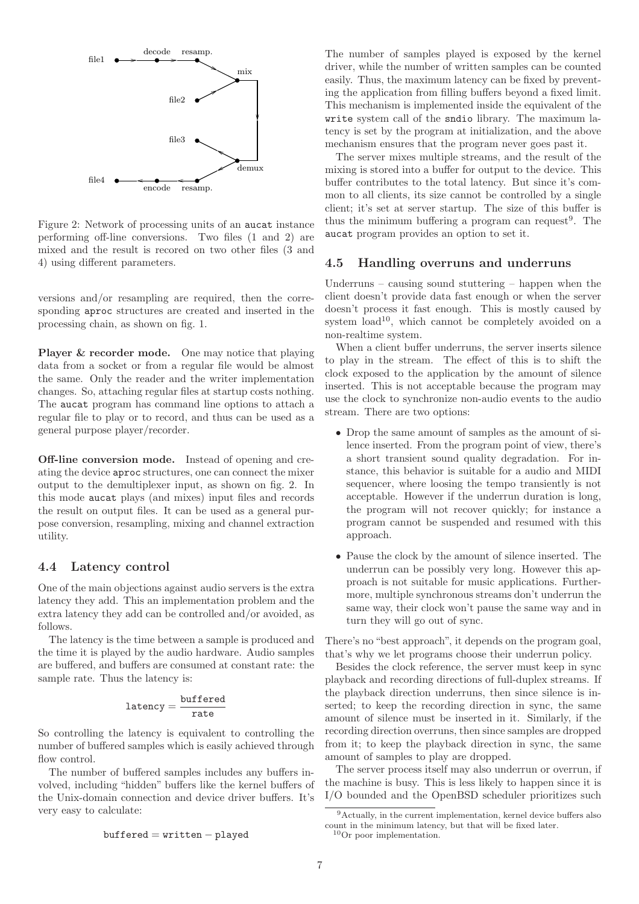

Figure 2: Network of processing units of an aucat instance performing off-line conversions. Two files (1 and 2) are mixed and the result is recored on two other files (3 and 4) using different parameters.

versions and/or resampling are required, then the corresponding aproc structures are created and inserted in the processing chain, as shown on fig. 1.

Player & recorder mode. One may notice that playing data from a socket or from a regular file would be almost the same. Only the reader and the writer implementation changes. So, attaching regular files at startup costs nothing. The aucat program has command line options to attach a regular file to play or to record, and thus can be used as a general purpose player/recorder.

Off-line conversion mode. Instead of opening and creating the device aproc structures, one can connect the mixer output to the demultiplexer input, as shown on fig. 2. In this mode aucat plays (and mixes) input files and records the result on output files. It can be used as a general purpose conversion, resampling, mixing and channel extraction utility.

## 4.4 Latency control

One of the main objections against audio servers is the extra latency they add. This an implementation problem and the extra latency they add can be controlled and/or avoided, as follows.

The latency is the time between a sample is produced and the time it is played by the audio hardware. Audio samples are buffered, and buffers are consumed at constant rate: the sample rate. Thus the latency is:

$$
\mathtt{latency} = \frac{\mathtt{buffered}}{\mathtt{rate}}
$$

So controlling the latency is equivalent to controlling the number of buffered samples which is easily achieved through flow control.

The number of buffered samples includes any buffers involved, including "hidden" buffers like the kernel buffers of the Unix-domain connection and device driver buffers. It's very easy to calculate:

The number of samples played is exposed by the kernel driver, while the number of written samples can be counted easily. Thus, the maximum latency can be fixed by preventing the application from filling buffers beyond a fixed limit. This mechanism is implemented inside the equivalent of the write system call of the sndio library. The maximum latency is set by the program at initialization, and the above mechanism ensures that the program never goes past it.

The server mixes multiple streams, and the result of the mixing is stored into a buffer for output to the device. This buffer contributes to the total latency. But since it's common to all clients, its size cannot be controlled by a single client; it's set at server startup. The size of this buffer is thus the minimum buffering a program can request<sup>9</sup>. The aucat program provides an option to set it.

## 4.5 Handling overruns and underruns

Underruns – causing sound stuttering – happen when the client doesn't provide data fast enough or when the server doesn't process it fast enough. This is mostly caused by system  $load^{10}$ , which cannot be completely avoided on a non-realtime system.

When a client buffer underruns, the server inserts silence to play in the stream. The effect of this is to shift the clock exposed to the application by the amount of silence inserted. This is not acceptable because the program may use the clock to synchronize non-audio events to the audio stream. There are two options:

- Drop the same amount of samples as the amount of silence inserted. From the program point of view, there's a short transient sound quality degradation. For instance, this behavior is suitable for a audio and MIDI sequencer, where loosing the tempo transiently is not acceptable. However if the underrun duration is long, the program will not recover quickly; for instance a program cannot be suspended and resumed with this approach.
- Pause the clock by the amount of silence inserted. The underrun can be possibly very long. However this approach is not suitable for music applications. Furthermore, multiple synchronous streams don't underrun the same way, their clock won't pause the same way and in turn they will go out of sync.

There's no "best approach", it depends on the program goal, that's why we let programs choose their underrun policy.

Besides the clock reference, the server must keep in sync playback and recording directions of full-duplex streams. If the playback direction underruns, then since silence is inserted; to keep the recording direction in sync, the same amount of silence must be inserted in it. Similarly, if the recording direction overruns, then since samples are dropped from it; to keep the playback direction in sync, the same amount of samples to play are dropped.

The server process itself may also underrun or overrun, if the machine is busy. This is less likely to happen since it is I/O bounded and the OpenBSD scheduler prioritizes such

buffered = written − played

<sup>9</sup>Actually, in the current implementation, kernel device buffers also count in the minimum latency, but that will be fixed later.  $10$ Or poor implementation.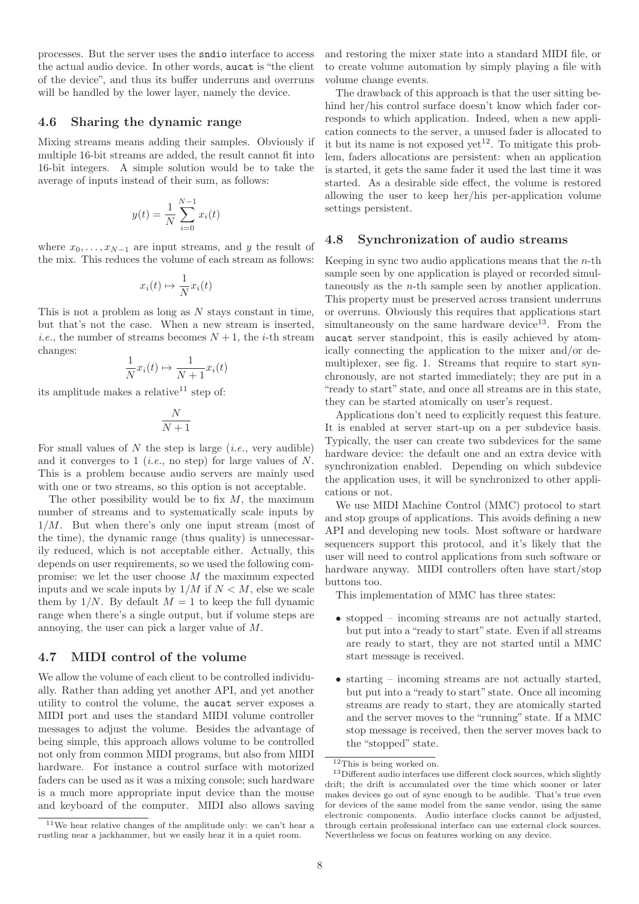processes. But the server uses the sndio interface to access the actual audio device. In other words, aucat is "the client of the device", and thus its buffer underruns and overruns will be handled by the lower layer, namely the device.

## 4.6 Sharing the dynamic range

Mixing streams means adding their samples. Obviously if multiple 16-bit streams are added, the result cannot fit into 16-bit integers. A simple solution would be to take the average of inputs instead of their sum, as follows:

$$
y(t) = \frac{1}{N} \sum_{i=0}^{N-1} x_i(t)
$$

where  $x_0, \ldots, x_{N-1}$  are input streams, and y the result of the mix. This reduces the volume of each stream as follows:

$$
x_i(t) \mapsto \frac{1}{N} x_i(t)
$$

This is not a problem as long as  $N$  stays constant in time, but that's not the case. When a new stream is inserted, *i.e.*, the number of streams becomes  $N + 1$ , the *i*-th stream changes:

$$
\frac{1}{N}x_i(t) \mapsto \frac{1}{N+1}x_i(t)
$$

its amplitude makes a relative<sup>11</sup> step of:

$$
\frac{N}{N+1}
$$

For small values of N the step is large  $(i.e.,$  very audible) and it converges to 1 (*i.e.*, no step) for large values of  $N$ . This is a problem because audio servers are mainly used with one or two streams, so this option is not acceptable.

The other possibility would be to fix  $M$ , the maximum number of streams and to systematically scale inputs by  $1/M$ . But when there's only one input stream (most of the time), the dynamic range (thus quality) is unnecessarily reduced, which is not acceptable either. Actually, this depends on user requirements, so we used the following compromise: we let the user choose  $M$  the maximum expected inputs and we scale inputs by  $1/M$  if  $N < M$ , else we scale them by  $1/N$ . By default  $M = 1$  to keep the full dynamic range when there's a single output, but if volume steps are annoying, the user can pick a larger value of M.

## 4.7 MIDI control of the volume

We allow the volume of each client to be controlled individually. Rather than adding yet another API, and yet another utility to control the volume, the aucat server exposes a MIDI port and uses the standard MIDI volume controller messages to adjust the volume. Besides the advantage of being simple, this approach allows volume to be controlled not only from common MIDI programs, but also from MIDI hardware. For instance a control surface with motorized faders can be used as it was a mixing console; such hardware is a much more appropriate input device than the mouse and keyboard of the computer. MIDI also allows saving and restoring the mixer state into a standard MIDI file, or to create volume automation by simply playing a file with volume change events.

The drawback of this approach is that the user sitting behind her/his control surface doesn't know which fader corresponds to which application. Indeed, when a new application connects to the server, a unused fader is allocated to it but its name is not exposed yet<sup>12</sup>. To mitigate this problem, faders allocations are persistent: when an application is started, it gets the same fader it used the last time it was started. As a desirable side effect, the volume is restored allowing the user to keep her/his per-application volume settings persistent.

## 4.8 Synchronization of audio streams

Keeping in sync two audio applications means that the  $n$ -th sample seen by one application is played or recorded simultaneously as the n-th sample seen by another application. This property must be preserved across transient underruns or overruns. Obviously this requires that applications start simultaneously on the same hardware device<sup>13</sup>. From the aucat server standpoint, this is easily achieved by atomically connecting the application to the mixer and/or demultiplexer, see fig. 1. Streams that require to start synchronously, are not started immediately; they are put in a "ready to start" state, and once all streams are in this state, they can be started atomically on user's request.

Applications don't need to explicitly request this feature. It is enabled at server start-up on a per subdevice basis. Typically, the user can create two subdevices for the same hardware device: the default one and an extra device with synchronization enabled. Depending on which subdevice the application uses, it will be synchronized to other applications or not.

We use MIDI Machine Control (MMC) protocol to start and stop groups of applications. This avoids defining a new API and developing new tools. Most software or hardware sequencers support this protocol, and it's likely that the user will need to control applications from such software or hardware anyway. MIDI controllers often have start/stop buttons too.

This implementation of MMC has three states:

- stopped incoming streams are not actually started, but put into a "ready to start" state. Even if all streams are ready to start, they are not started until a MMC start message is received.
- starting incoming streams are not actually started, but put into a "ready to start" state. Once all incoming streams are ready to start, they are atomically started and the server moves to the "running" state. If a MMC stop message is received, then the server moves back to the "stopped" state.

 $^{11}{\rm{We}}$  hear relative changes of the amplitude only: we can't hear a rustling near a jackhammer, but we easily hear it in a quiet room.

 $12$ This is being worked on.

<sup>&</sup>lt;sup>13</sup>Different audio interfaces use different clock sources, which slightly drift; the drift is accumulated over the time which sooner or later makes devices go out of sync enough to be audible. That's true even for devices of the same model from the same vendor, using the same electronic components. Audio interface clocks cannot be adjusted, through certain professional interface can use external clock sources. Nevertheless we focus on features working on any device.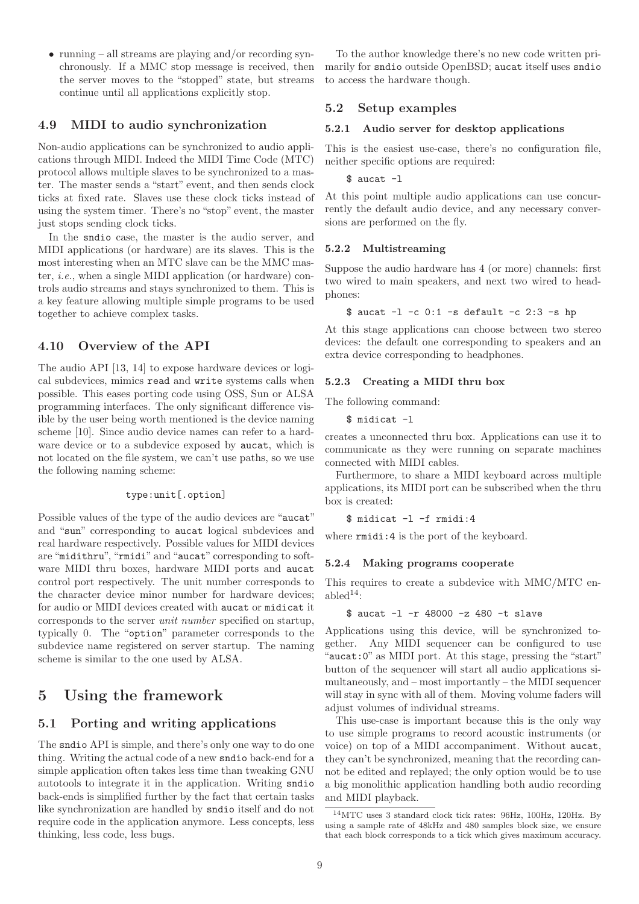• running – all streams are playing and/or recording synchronously. If a MMC stop message is received, then the server moves to the "stopped" state, but streams continue until all applications explicitly stop.

# 4.9 MIDI to audio synchronization

Non-audio applications can be synchronized to audio applications through MIDI. Indeed the MIDI Time Code (MTC) protocol allows multiple slaves to be synchronized to a master. The master sends a "start" event, and then sends clock ticks at fixed rate. Slaves use these clock ticks instead of using the system timer. There's no "stop" event, the master just stops sending clock ticks.

In the sndio case, the master is the audio server, and MIDI applications (or hardware) are its slaves. This is the most interesting when an MTC slave can be the MMC master, i.e., when a single MIDI application (or hardware) controls audio streams and stays synchronized to them. This is a key feature allowing multiple simple programs to be used together to achieve complex tasks.

# 4.10 Overview of the API

The audio API [13, 14] to expose hardware devices or logical subdevices, mimics read and write systems calls when possible. This eases porting code using OSS, Sun or ALSA programming interfaces. The only significant difference visible by the user being worth mentioned is the device naming scheme [10]. Since audio device names can refer to a hardware device or to a subdevice exposed by **aucat**, which is not located on the file system, we can't use paths, so we use the following naming scheme:

## type:unit[.option]

Possible values of the type of the audio devices are "aucat" and "sun" corresponding to aucat logical subdevices and real hardware respectively. Possible values for MIDI devices are "midithru", "rmidi" and "aucat" corresponding to software MIDI thru boxes, hardware MIDI ports and aucat control port respectively. The unit number corresponds to the character device minor number for hardware devices; for audio or MIDI devices created with aucat or midicat it corresponds to the server unit number specified on startup, typically 0. The "option" parameter corresponds to the subdevice name registered on server startup. The naming scheme is similar to the one used by ALSA.

# 5 Using the framework

# 5.1 Porting and writing applications

The sndio API is simple, and there's only one way to do one thing. Writing the actual code of a new sndio back-end for a simple application often takes less time than tweaking GNU autotools to integrate it in the application. Writing sndio back-ends is simplified further by the fact that certain tasks like synchronization are handled by sndio itself and do not require code in the application anymore. Less concepts, less thinking, less code, less bugs.

To the author knowledge there's no new code written primarily for sndio outside OpenBSD; aucat itself uses sndio to access the hardware though.

## 5.2 Setup examples

### 5.2.1 Audio server for desktop applications

This is the easiest use-case, there's no configuration file, neither specific options are required:

## $$$  aucat  $-1$

At this point multiple audio applications can use concurrently the default audio device, and any necessary conversions are performed on the fly.

#### 5.2.2 Multistreaming

Suppose the audio hardware has 4 (or more) channels: first two wired to main speakers, and next two wired to headphones:

```
\text{\$ } aucat -1 -c 0:1 -s default -c 2:3 -s hp
```
At this stage applications can choose between two stereo devices: the default one corresponding to speakers and an extra device corresponding to headphones.

### 5.2.3 Creating a MIDI thru box

The following command:

```
$ midicat -l
```
creates a unconnected thru box. Applications can use it to communicate as they were running on separate machines connected with MIDI cables.

Furthermore, to share a MIDI keyboard across multiple applications, its MIDI port can be subscribed when the thru box is created:

\$ midicat -l -f rmidi:4

where  $\text{rmidi}:4$  is the port of the keyboard.

#### 5.2.4 Making programs cooperate

This requires to create a subdevice with MMC/MTC enable $d^{14}$ 

```
$ aucat -l -r 48000 -z 480 -t slave
```
Applications using this device, will be synchronized together. Any MIDI sequencer can be configured to use "aucat:0" as MIDI port. At this stage, pressing the "start" button of the sequencer will start all audio applications simultaneously, and – most importantly – the MIDI sequencer will stay in sync with all of them. Moving volume faders will adjust volumes of individual streams.

This use-case is important because this is the only way to use simple programs to record acoustic instruments (or voice) on top of a MIDI accompaniment. Without aucat, they can't be synchronized, meaning that the recording cannot be edited and replayed; the only option would be to use a big monolithic application handling both audio recording and MIDI playback.

<sup>14</sup>MTC uses 3 standard clock tick rates: 96Hz, 100Hz, 120Hz. By using a sample rate of 48kHz and 480 samples block size, we ensure that each block corresponds to a tick which gives maximum accuracy.